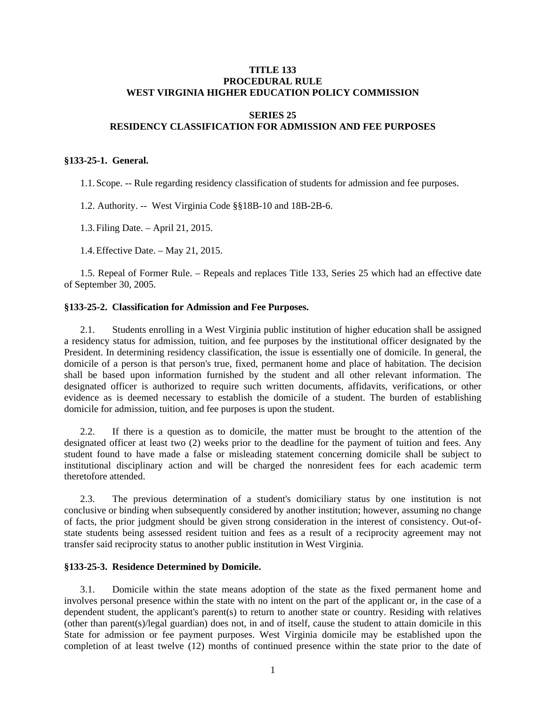#### **TITLE 133 PROCEDURAL RULE WEST VIRGINIA HIGHER EDUCATION POLICY COMMISSION**

# **SERIES 25 RESIDENCY CLASSIFICATION FOR ADMISSION AND FEE PURPOSES**

#### **§133-25-1. General.**

1.1. Scope. -- Rule regarding residency classification of students for admission and fee purposes.

1.2. Authority. -- West Virginia Code §§18B-10 and 18B-2B-6.

1.3. Filing Date. – April 21, 2015.

1.4. Effective Date. – May 21, 2015.

 1.5. Repeal of Former Rule. – Repeals and replaces Title 133, Series 25 which had an effective date of September 30, 2005.

### **§133-25-2. Classification for Admission and Fee Purposes.**

 2.1. Students enrolling in a West Virginia public institution of higher education shall be assigned a residency status for admission, tuition, and fee purposes by the institutional officer designated by the President. In determining residency classification, the issue is essentially one of domicile. In general, the domicile of a person is that person's true, fixed, permanent home and place of habitation. The decision shall be based upon information furnished by the student and all other relevant information. The designated officer is authorized to require such written documents, affidavits, verifications, or other evidence as is deemed necessary to establish the domicile of a student. The burden of establishing domicile for admission, tuition, and fee purposes is upon the student.

 2.2. If there is a question as to domicile, the matter must be brought to the attention of the designated officer at least two (2) weeks prior to the deadline for the payment of tuition and fees. Any student found to have made a false or misleading statement concerning domicile shall be subject to institutional disciplinary action and will be charged the nonresident fees for each academic term theretofore attended.

 2.3. The previous determination of a student's domiciliary status by one institution is not conclusive or binding when subsequently considered by another institution; however, assuming no change of facts, the prior judgment should be given strong consideration in the interest of consistency. Out-ofstate students being assessed resident tuition and fees as a result of a reciprocity agreement may not transfer said reciprocity status to another public institution in West Virginia.

# **§133-25-3. Residence Determined by Domicile.**

 3.1. Domicile within the state means adoption of the state as the fixed permanent home and involves personal presence within the state with no intent on the part of the applicant or, in the case of a dependent student, the applicant's parent(s) to return to another state or country. Residing with relatives (other than parent(s)/legal guardian) does not, in and of itself, cause the student to attain domicile in this State for admission or fee payment purposes. West Virginia domicile may be established upon the completion of at least twelve (12) months of continued presence within the state prior to the date of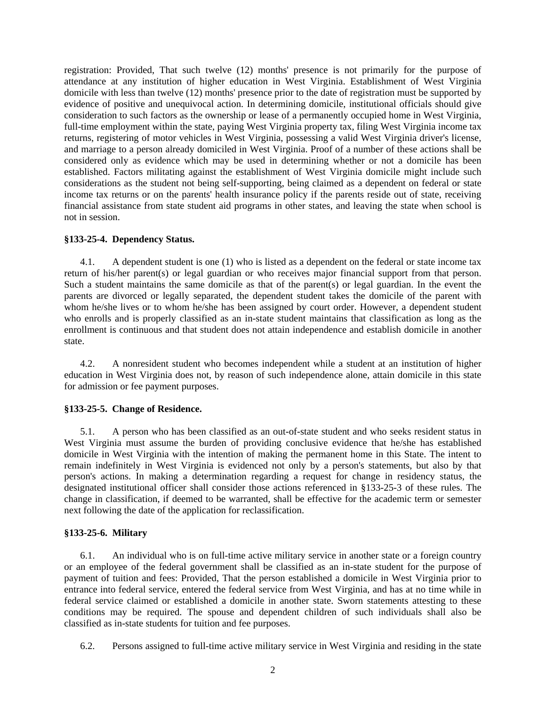registration: Provided, That such twelve (12) months' presence is not primarily for the purpose of attendance at any institution of higher education in West Virginia. Establishment of West Virginia domicile with less than twelve (12) months' presence prior to the date of registration must be supported by evidence of positive and unequivocal action. In determining domicile, institutional officials should give consideration to such factors as the ownership or lease of a permanently occupied home in West Virginia, full-time employment within the state, paying West Virginia property tax, filing West Virginia income tax returns, registering of motor vehicles in West Virginia, possessing a valid West Virginia driver's license, and marriage to a person already domiciled in West Virginia. Proof of a number of these actions shall be considered only as evidence which may be used in determining whether or not a domicile has been established. Factors militating against the establishment of West Virginia domicile might include such considerations as the student not being self-supporting, being claimed as a dependent on federal or state income tax returns or on the parents' health insurance policy if the parents reside out of state, receiving financial assistance from state student aid programs in other states, and leaving the state when school is not in session.

#### **§133-25-4. Dependency Status.**

 4.1. A dependent student is one (1) who is listed as a dependent on the federal or state income tax return of his/her parent(s) or legal guardian or who receives major financial support from that person. Such a student maintains the same domicile as that of the parent(s) or legal guardian. In the event the parents are divorced or legally separated, the dependent student takes the domicile of the parent with whom he/she lives or to whom he/she has been assigned by court order. However, a dependent student who enrolls and is properly classified as an in-state student maintains that classification as long as the enrollment is continuous and that student does not attain independence and establish domicile in another state.

 4.2. A nonresident student who becomes independent while a student at an institution of higher education in West Virginia does not, by reason of such independence alone, attain domicile in this state for admission or fee payment purposes.

#### **§133-25-5. Change of Residence.**

 5.1. A person who has been classified as an out-of-state student and who seeks resident status in West Virginia must assume the burden of providing conclusive evidence that he/she has established domicile in West Virginia with the intention of making the permanent home in this State. The intent to remain indefinitely in West Virginia is evidenced not only by a person's statements, but also by that person's actions. In making a determination regarding a request for change in residency status, the designated institutional officer shall consider those actions referenced in §133-25-3 of these rules. The change in classification, if deemed to be warranted, shall be effective for the academic term or semester next following the date of the application for reclassification.

#### **§133-25-6. Military**

 6.1. An individual who is on full-time active military service in another state or a foreign country or an employee of the federal government shall be classified as an in-state student for the purpose of payment of tuition and fees: Provided, That the person established a domicile in West Virginia prior to entrance into federal service, entered the federal service from West Virginia, and has at no time while in federal service claimed or established a domicile in another state. Sworn statements attesting to these conditions may be required. The spouse and dependent children of such individuals shall also be classified as in-state students for tuition and fee purposes.

6.2. Persons assigned to full-time active military service in West Virginia and residing in the state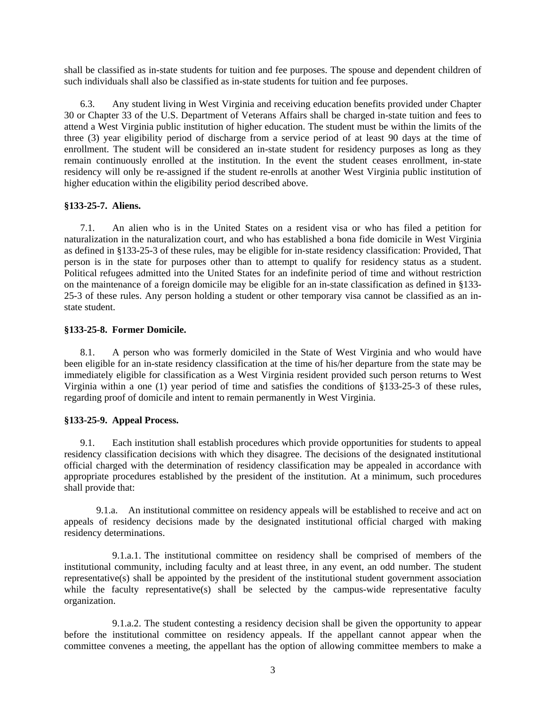shall be classified as in-state students for tuition and fee purposes. The spouse and dependent children of such individuals shall also be classified as in-state students for tuition and fee purposes.

 6.3. Any student living in West Virginia and receiving education benefits provided under Chapter 30 or Chapter 33 of the U.S. Department of Veterans Affairs shall be charged in-state tuition and fees to attend a West Virginia public institution of higher education. The student must be within the limits of the three (3) year eligibility period of discharge from a service period of at least 90 days at the time of enrollment. The student will be considered an in-state student for residency purposes as long as they remain continuously enrolled at the institution. In the event the student ceases enrollment, in-state residency will only be re-assigned if the student re-enrolls at another West Virginia public institution of higher education within the eligibility period described above.

### **§133-25-7. Aliens.**

 7.1. An alien who is in the United States on a resident visa or who has filed a petition for naturalization in the naturalization court, and who has established a bona fide domicile in West Virginia as defined in §133-25-3 of these rules, may be eligible for in-state residency classification: Provided, That person is in the state for purposes other than to attempt to qualify for residency status as a student. Political refugees admitted into the United States for an indefinite period of time and without restriction on the maintenance of a foreign domicile may be eligible for an in-state classification as defined in §133- 25-3 of these rules. Any person holding a student or other temporary visa cannot be classified as an instate student.

### **§133-25-8. Former Domicile.**

 8.1. A person who was formerly domiciled in the State of West Virginia and who would have been eligible for an in-state residency classification at the time of his/her departure from the state may be immediately eligible for classification as a West Virginia resident provided such person returns to West Virginia within a one (1) year period of time and satisfies the conditions of §133-25-3 of these rules, regarding proof of domicile and intent to remain permanently in West Virginia.

# **§133-25-9. Appeal Process.**

 9.1. Each institution shall establish procedures which provide opportunities for students to appeal residency classification decisions with which they disagree. The decisions of the designated institutional official charged with the determination of residency classification may be appealed in accordance with appropriate procedures established by the president of the institution. At a minimum, such procedures shall provide that:

 9.1.a. An institutional committee on residency appeals will be established to receive and act on appeals of residency decisions made by the designated institutional official charged with making residency determinations.

 9.1.a.1. The institutional committee on residency shall be comprised of members of the institutional community, including faculty and at least three, in any event, an odd number. The student representative(s) shall be appointed by the president of the institutional student government association while the faculty representative(s) shall be selected by the campus-wide representative faculty organization.

 9.1.a.2. The student contesting a residency decision shall be given the opportunity to appear before the institutional committee on residency appeals. If the appellant cannot appear when the committee convenes a meeting, the appellant has the option of allowing committee members to make a